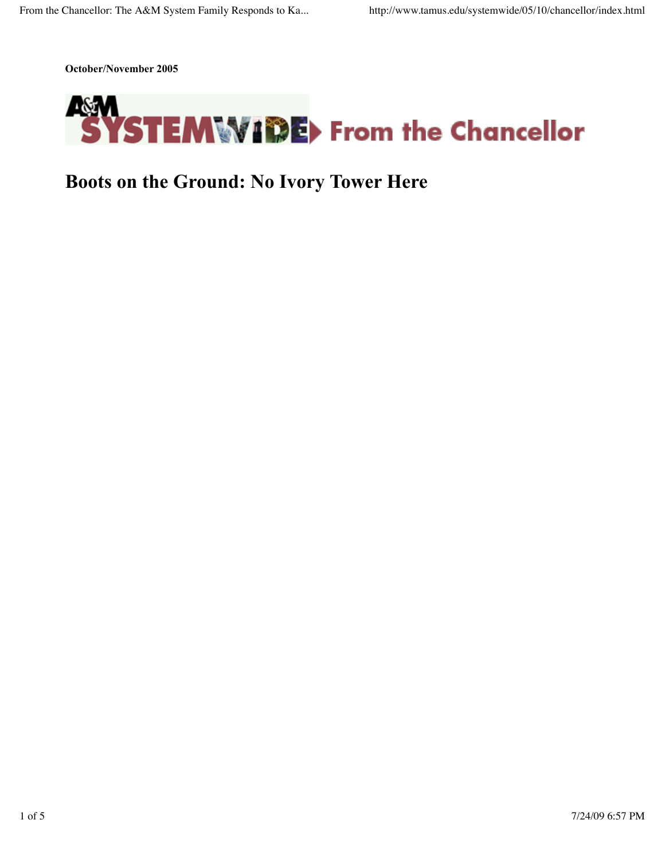**October/November 2005**



# **Boots on the Ground: No Ivory Tower Here**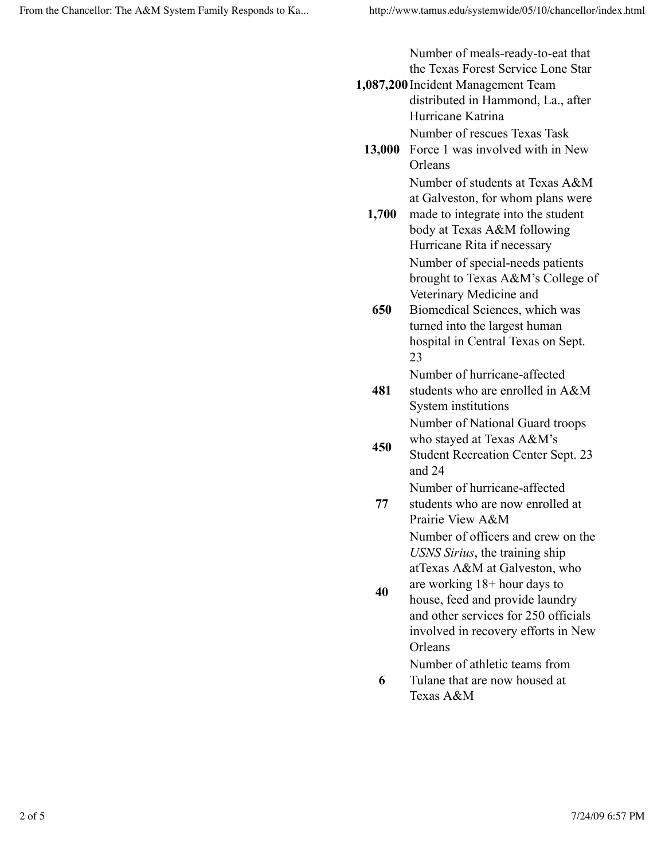Number of meals-ready-to-eat that the Texas Forest Service Lone Star

- **1,087,200** Incident Management Team distributed in Hammond, La., after Hurricane Katrina Number of rescues Texas Task
- **13,000** Force 1 was involved with in New **Orleans** Number of students at Texas A&M at Galveston, for whom plans were
- **1,700** made to integrate into the student body at Texas A&M following Hurricane Rita if necessary Number of special-needs patients brought to Texas A&M's College of Veterinary Medicine and
- **650** Biomedical Sciences, which was turned into the largest human hospital in Central Texas on Sept. 23

Number of hurricane-affected students who are enrolled in A&M

- **481** System institutions Number of National Guard troops who stayed at Texas A&M's
- **450** Student Recreation Center Sept. 23 and 24

Number of hurricane-affected

- **77** students who are now enrolled at Prairie View A&M Number of officers and crew on the *USNS Sirius*, the training ship atTexas A&M at Galveston, who
- **40** are working 18+ hour days to house, feed and provide laundry and other services for 250 officials involved in recovery efforts in New **Orleans**

Number of athletic teams from

**6** Tulane that are now housed at Texas A&M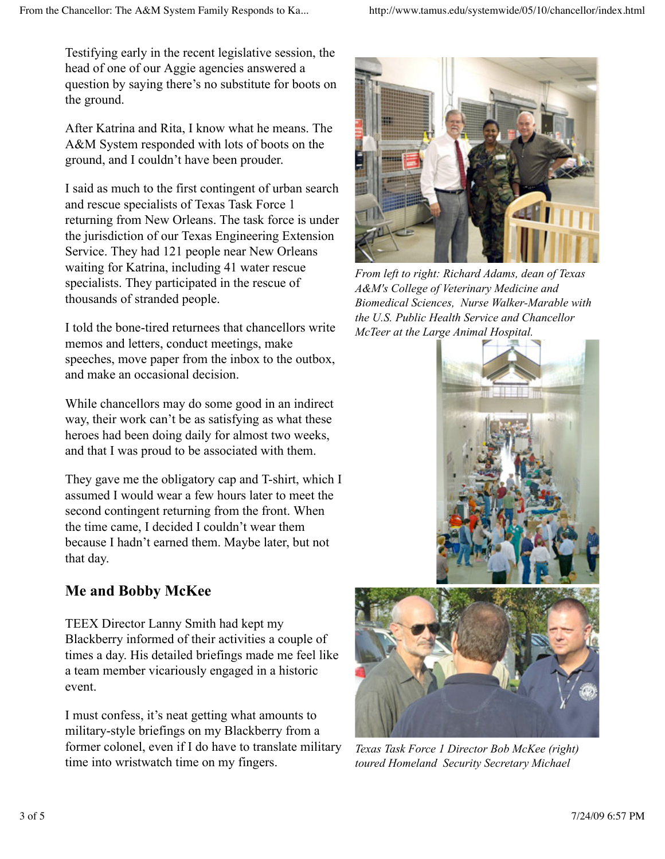Testifying early in the recent legislative session, the head of one of our Aggie agencies answered a question by saying there's no substitute for boots on the ground.

After Katrina and Rita, I know what he means. The A&M System responded with lots of boots on the ground, and I couldn't have been prouder.

I said as much to the first contingent of urban search and rescue specialists of Texas Task Force 1 returning from New Orleans. The task force is under the jurisdiction of our Texas Engineering Extension Service. They had 121 people near New Orleans waiting for Katrina, including 41 water rescue specialists. They participated in the rescue of thousands of stranded people.

I told the bone-tired returnees that chancellors write memos and letters, conduct meetings, make speeches, move paper from the inbox to the outbox, and make an occasional decision.

While chancellors may do some good in an indirect way, their work can't be as satisfying as what these heroes had been doing daily for almost two weeks, and that I was proud to be associated with them.

They gave me the obligatory cap and T-shirt, which I assumed I would wear a few hours later to meet the second contingent returning from the front. When the time came, I decided I couldn't wear them because I hadn't earned them. Maybe later, but not that day.

#### **Me and Bobby McKee**

TEEX Director Lanny Smith had kept my Blackberry informed of their activities a couple of times a day. His detailed briefings made me feel like a team member vicariously engaged in a historic event.

I must confess, it's neat getting what amounts to military-style briefings on my Blackberry from a former colonel, even if I do have to translate military time into wristwatch time on my fingers.



*From left to right: Richard Adams, dean of Texas A&M's College of Veterinary Medicine and Biomedical Sciences, Nurse Walker-Marable with the U.S. Public Health Service and Chancellor McTeer at the Large Animal Hospital.*



*Texas Task Force 1 Director Bob McKee (right) toured Homeland Security Secretary Michael*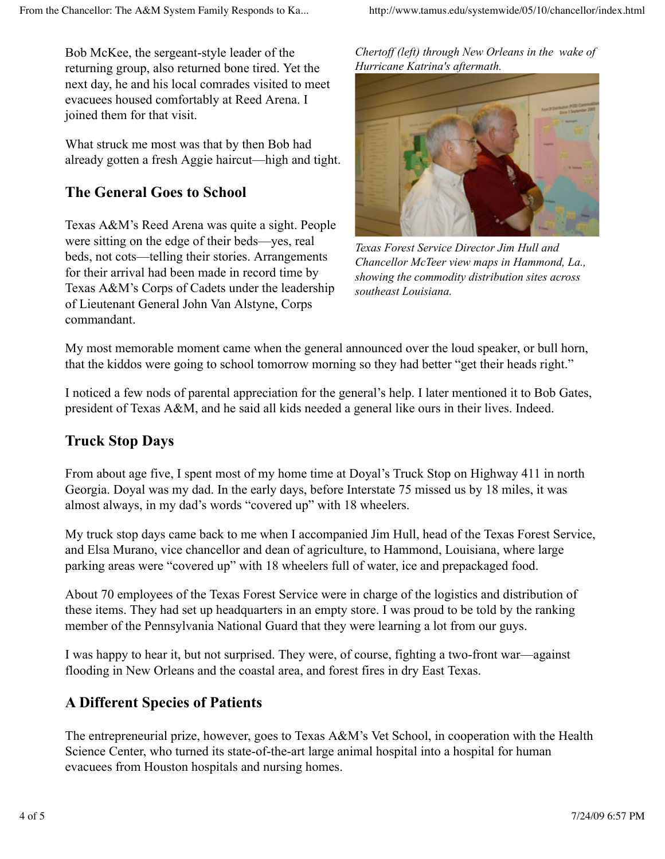Bob McKee, the sergeant-style leader of the returning group, also returned bone tired. Yet the next day, he and his local comrades visited to meet evacuees housed comfortably at Reed Arena. I joined them for that visit.

What struck me most was that by then Bob had already gotten a fresh Aggie haircut—high and tight.

## **The General Goes to School**

Texas A&M's Reed Arena was quite a sight. People were sitting on the edge of their beds—yes, real beds, not cots—telling their stories. Arrangements for their arrival had been made in record time by Texas A&M's Corps of Cadets under the leadership of Lieutenant General John Van Alstyne, Corps commandant.

*Chertoff (left) through New Orleans in the wake of Hurricane Katrina's aftermath.*



*Texas Forest Service Director Jim Hull and Chancellor McTeer view maps in Hammond, La., showing the commodity distribution sites across southeast Louisiana.*

My most memorable moment came when the general announced over the loud speaker, or bull horn, that the kiddos were going to school tomorrow morning so they had better "get their heads right."

I noticed a few nods of parental appreciation for the general's help. I later mentioned it to Bob Gates, president of Texas A&M, and he said all kids needed a general like ours in their lives. Indeed.

## **Truck Stop Days**

From about age five, I spent most of my home time at Doyal's Truck Stop on Highway 411 in north Georgia. Doyal was my dad. In the early days, before Interstate 75 missed us by 18 miles, it was almost always, in my dad's words "covered up" with 18 wheelers.

My truck stop days came back to me when I accompanied Jim Hull, head of the Texas Forest Service, and Elsa Murano, vice chancellor and dean of agriculture, to Hammond, Louisiana, where large parking areas were "covered up" with 18 wheelers full of water, ice and prepackaged food.

About 70 employees of the Texas Forest Service were in charge of the logistics and distribution of these items. They had set up headquarters in an empty store. I was proud to be told by the ranking member of the Pennsylvania National Guard that they were learning a lot from our guys.

I was happy to hear it, but not surprised. They were, of course, fighting a two-front war—against flooding in New Orleans and the coastal area, and forest fires in dry East Texas.

## **A Different Species of Patients**

The entrepreneurial prize, however, goes to Texas A&M's Vet School, in cooperation with the Health Science Center, who turned its state-of-the-art large animal hospital into a hospital for human evacuees from Houston hospitals and nursing homes.